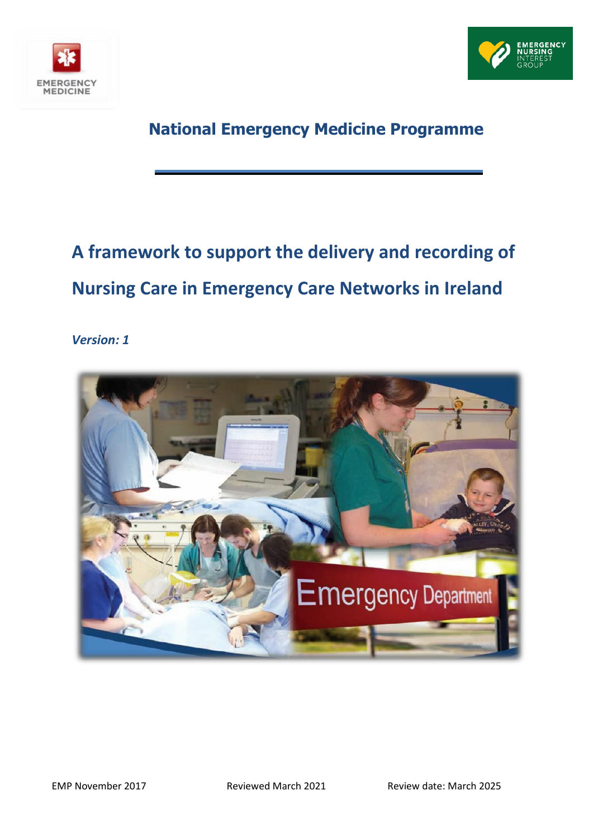



# **National Emergency Medicine Programme**

# **A framework to support the delivery and recording of Nursing Care in Emergency Care Networks in Ireland**

*Version: 1*

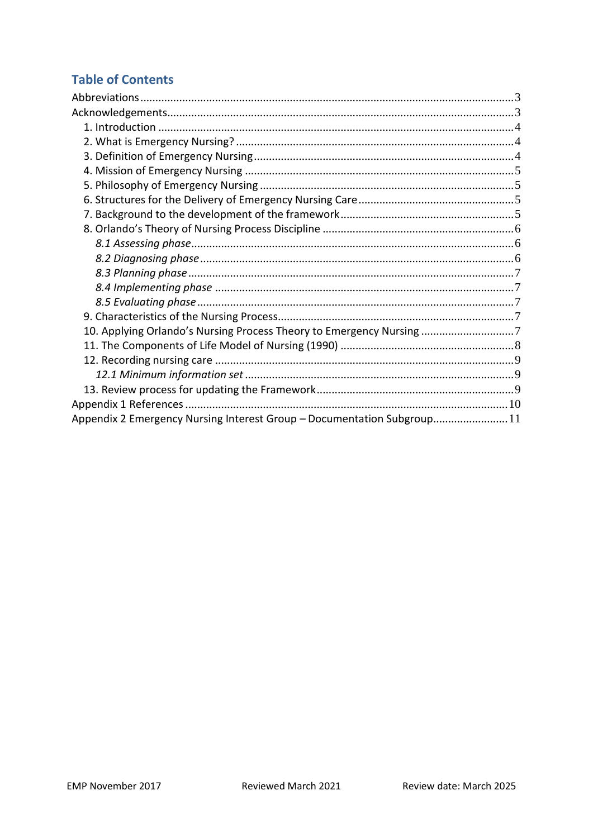# **Table of Contents**

| 10. Applying Orlando's Nursing Process Theory to Emergency Nursing 7   |  |
|------------------------------------------------------------------------|--|
|                                                                        |  |
|                                                                        |  |
|                                                                        |  |
|                                                                        |  |
|                                                                        |  |
| Appendix 2 Emergency Nursing Interest Group - Documentation Subgroup11 |  |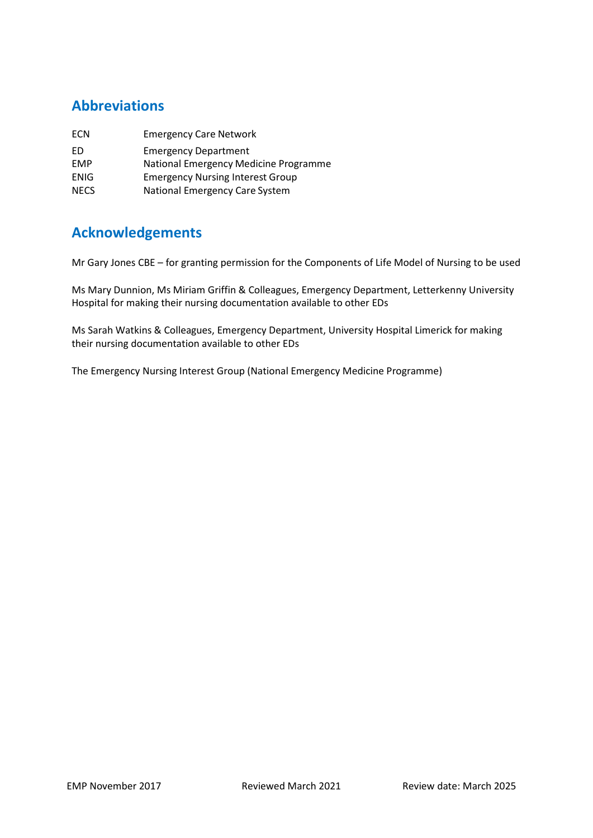# <span id="page-2-0"></span>**Abbreviations**

| ECN         | <b>Emergency Care Network</b>           |
|-------------|-----------------------------------------|
| FD.         | <b>Emergency Department</b>             |
| EMP         | National Emergency Medicine Programme   |
| ENIG        | <b>Emergency Nursing Interest Group</b> |
| <b>NECS</b> | National Emergency Care System          |

# <span id="page-2-1"></span>**Acknowledgements**

Mr Gary Jones CBE – for granting permission for the Components of Life Model of Nursing to be used

Ms Mary Dunnion, Ms Miriam Griffin & Colleagues, Emergency Department, Letterkenny University Hospital for making their nursing documentation available to other EDs

Ms Sarah Watkins & Colleagues, Emergency Department, University Hospital Limerick for making their nursing documentation available to other EDs

The Emergency Nursing Interest Group (National Emergency Medicine Programme)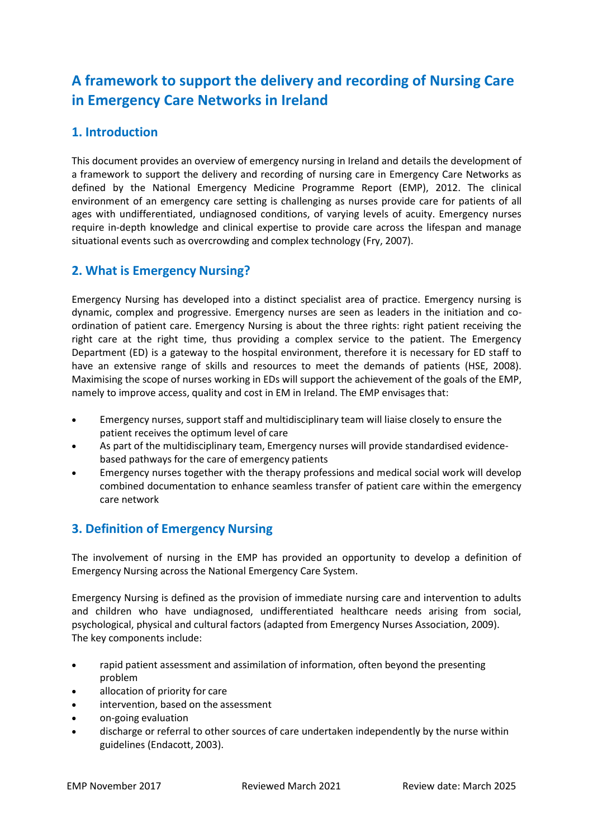# **A framework to support the delivery and recording of Nursing Care in Emergency Care Networks in Ireland**

# <span id="page-3-0"></span>**1. Introduction**

This document provides an overview of emergency nursing in Ireland and details the development of a framework to support the delivery and recording of nursing care in Emergency Care Networks as defined by the National Emergency Medicine Programme Report (EMP), 2012. The clinical environment of an emergency care setting is challenging as nurses provide care for patients of all ages with undifferentiated, undiagnosed conditions, of varying levels of acuity. Emergency nurses require in-depth knowledge and clinical expertise to provide care across the lifespan and manage situational events such as overcrowding and complex technology (Fry, 2007).

# <span id="page-3-1"></span>**2. What is Emergency Nursing?**

Emergency Nursing has developed into a distinct specialist area of practice. Emergency nursing is dynamic, complex and progressive. Emergency nurses are seen as leaders in the initiation and coordination of patient care. Emergency Nursing is about the three rights: right patient receiving the right care at the right time, thus providing a complex service to the patient. The Emergency Department (ED) is a gateway to the hospital environment, therefore it is necessary for ED staff to have an extensive range of skills and resources to meet the demands of patients (HSE, 2008). Maximising the scope of nurses working in EDs will support the achievement of the goals of the EMP, namely to improve access, quality and cost in EM in Ireland. The EMP envisages that:

- Emergency nurses, support staff and multidisciplinary team will liaise closely to ensure the patient receives the optimum level of care
- As part of the multidisciplinary team, Emergency nurses will provide standardised evidencebased pathways for the care of emergency patients
- Emergency nurses together with the therapy professions and medical social work will develop combined documentation to enhance seamless transfer of patient care within the emergency care network

# <span id="page-3-2"></span>**3. Definition of Emergency Nursing**

The involvement of nursing in the EMP has provided an opportunity to develop a definition of Emergency Nursing across the National Emergency Care System.

Emergency Nursing is defined as the provision of immediate nursing care and intervention to adults and children who have undiagnosed, undifferentiated healthcare needs arising from social, psychological, physical and cultural factors (adapted from Emergency Nurses Association, 2009). The key components include:

- rapid patient assessment and assimilation of information, often beyond the presenting problem
- allocation of priority for care
- intervention, based on the assessment
- on-going evaluation
- discharge or referral to other sources of care undertaken independently by the nurse within guidelines (Endacott, 2003).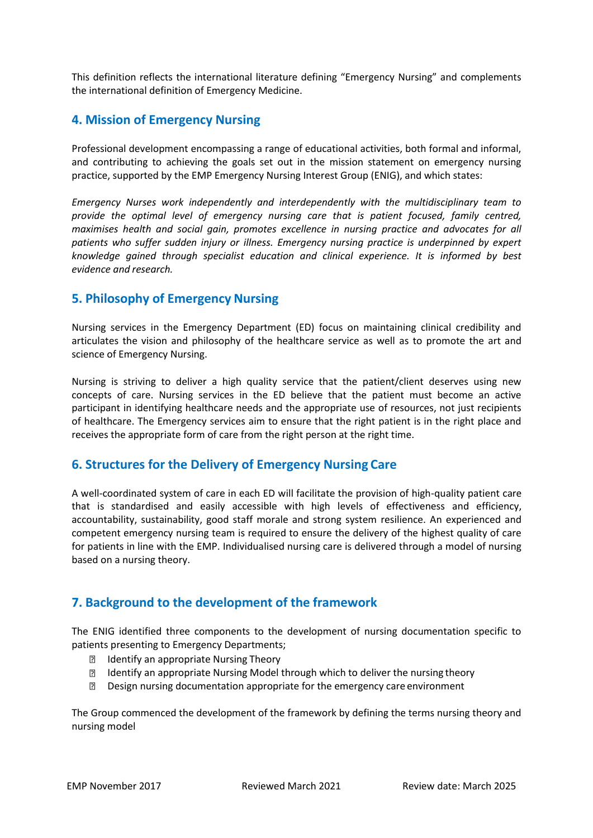This definition reflects the international literature defining "Emergency Nursing" and complements the international definition of Emergency Medicine.

## <span id="page-4-0"></span>**4. Mission of Emergency Nursing**

Professional development encompassing a range of educational activities, both formal and informal, and contributing to achieving the goals set out in the mission statement on emergency nursing practice, supported by the EMP Emergency Nursing Interest Group (ENIG), and which states:

*Emergency Nurses work independently and interdependently with the multidisciplinary team to provide the optimal level of emergency nursing care that is patient focused, family centred, maximises health and social gain, promotes excellence in nursing practice and advocates for all patients who suffer sudden injury or illness. Emergency nursing practice is underpinned by expert knowledge gained through specialist education and clinical experience. It is informed by best evidence and research.*

### <span id="page-4-1"></span>**5. Philosophy of Emergency Nursing**

Nursing services in the Emergency Department (ED) focus on maintaining clinical credibility and articulates the vision and philosophy of the healthcare service as well as to promote the art and science of Emergency Nursing.

Nursing is striving to deliver a high quality service that the patient/client deserves using new concepts of care. Nursing services in the ED believe that the patient must become an active participant in identifying healthcare needs and the appropriate use of resources, not just recipients of healthcare. The Emergency services aim to ensure that the right patient is in the right place and receives the appropriate form of care from the right person at the right time.

### <span id="page-4-2"></span>**6. Structures for the Delivery of Emergency Nursing Care**

A well-coordinated system of care in each ED will facilitate the provision of high-quality patient care that is standardised and easily accessible with high levels of effectiveness and efficiency, accountability, sustainability, good staff morale and strong system resilience. An experienced and competent emergency nursing team is required to ensure the delivery of the highest quality of care for patients in line with the EMP. Individualised nursing care is delivered through a model of nursing based on a nursing theory.

### <span id="page-4-3"></span>**7. Background to the development of the framework**

The ENIG identified three components to the development of nursing documentation specific to patients presenting to Emergency Departments;

- **Identify an appropriate Nursing Theory**
- **Identify an appropriate Nursing Model through which to deliver the nursing theory**
- Design nursing documentation appropriate for the emergency care environment  $\overline{P}$

The Group commenced the development of the framework by defining the terms nursing theory and nursing model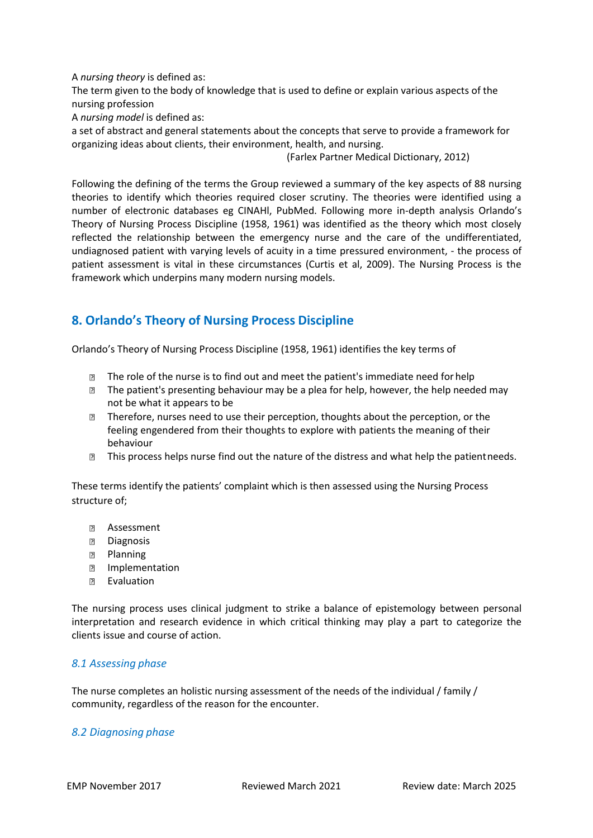A *nursing theory* is defined as:

The term given to the body of knowledge that is used to define or explain various aspects of the nursing profession

A *nursing model* is defined as:

a set of abstract and general statements about the concepts that serve to provide a framework for organizing ideas about clients, their environment, health, and nursing.

(Farlex Partner Medical Dictionary, 2012)

Following the defining of the terms the Group reviewed a summary of the key aspects of 88 nursing theories to identify which theories required closer scrutiny. The theories were identified using a number of electronic databases eg CINAHl, PubMed. Following more in-depth analysis Orlando's Theory of Nursing Process Discipline (1958, 1961) was identified as the theory which most closely reflected the relationship between the emergency nurse and the care of the undifferentiated, undiagnosed patient with varying levels of acuity in a time pressured environment, - the process of patient assessment is vital in these circumstances (Curtis et al, 2009). The Nursing Process is the framework which underpins many modern nursing models.

# <span id="page-5-0"></span>**8. Orlando's Theory of Nursing Process Discipline**

Orlando's Theory of Nursing Process Discipline (1958, 1961) identifies the key terms of

- $\Box$  The role of the nurse is to find out and meet the patient's immediate need for help
- **If the patient's presenting behaviour may be a plea for help, however, the help needed may** not be what it appears to be
- Therefore, nurses need to use their perception, thoughts about the perception, or the feeling engendered from their thoughts to explore with patients the meaning of their behaviour
- **If the Studies The Studies 1** and the nature of the distress and what help the patient needs.

These terms identify the patients' complaint which is then assessed using the Nursing Process structure of;

- **图 Assessment**
- **Diagnosis**
- **Planning**
- Implementation
- **P** Evaluation

The nursing process uses clinical judgment to strike a balance of [epistemology](http://en.wikipedia.org/wiki/Epistemology) between personal interpretation and research evidence in which [critical thinking](http://en.wikipedia.org/wiki/Critical_thinking) may play a part to categorize the clients issue and course of action.

#### <span id="page-5-1"></span>*8.1 Assessing phase*

The nurse completes an [holistic](http://en.wikipedia.org/wiki/Holistic) [nursing assessment](http://en.wikipedia.org/wiki/Nursing_assessment) of the needs of the individual / family / community, regardless of the reason for the encounter.

#### <span id="page-5-2"></span>*8.2 Diagnosing phase*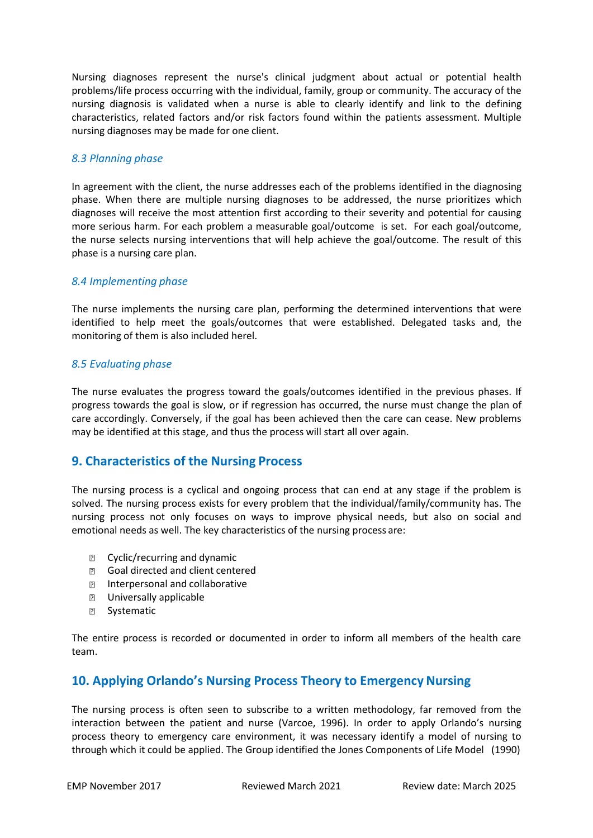[Nursing diagnoses](http://en.wikipedia.org/wiki/Nursing_diagnosis) represent the nurse's clinical judgment about actual or potential health problems/life process occurring with the individual, family, group or community. The accuracy of the nursing diagnosis is validated when a nurse is able to clearly identify and link to the defining characteristics, related factors and/or risk factors found within the patients assessment. Multiple nursing diagnoses may be made for one client.

#### <span id="page-6-0"></span>*8.3 Planning phase*

In agreement with the client, the nurse addresses each of the problems identified in the diagnosing phase. When there are multiple nursing diagnoses to be addressed, the nurse prioritizes which diagnoses will receive the most attention first according to their severity and potential for causing more serious harm. For each problem a measurable goal/outcome is set. For each goal/outcome, the nurse selects nursing interventions that will help achieve the goal/outcome. The result of this phase is a [nursing care plan.](http://en.wikipedia.org/wiki/Nursing_care_plan)

#### <span id="page-6-1"></span>*8.4 Implementing phase*

The nurse implements the [nursing care plan,](http://en.wikipedia.org/wiki/Nursing_care_plan) performing the determined interventions that were identified to help meet the goals/outcomes that were established. Delegated tasks and, the monitoring of them is also included herel.

#### <span id="page-6-2"></span>*8.5 Evaluating phase*

The nurse evaluates the progress toward the goals/outcomes identified in the previous phases. If progress towards the goal is slow, or if regression has occurred, the nurse must change the plan of care accordingly. Conversely, if the goal has been achieved then the care can cease. New problems may be identified at this stage, and thus the process will start all over again.

### <span id="page-6-3"></span>**9. Characteristics of the Nursing Process**

The nursing process is a cyclical and ongoing process that can end at any stage if the problem is solved. The nursing process exists for every problem that the individual/family/community has. The nursing process not only focuses on ways to improve physical needs, but also on social and emotional needs as well. The key characteristics of the nursing process are:

- **E** Cyclic/recurring and dynamic
- **B** Goal directed and client centered
- **Interpersonal and collaborative**
- **2** Universally applicable
- **2** Systematic

The entire process is recorded or documented in order to inform all members of the health care team.

### <span id="page-6-4"></span>**10. Applying Orlando's Nursing Process Theory to Emergency Nursing**

The nursing process is often seen to subscribe to a written methodology, far removed from the interaction between the patient and nurse (Varcoe, 1996). In order to apply Orlando's nursing process theory to emergency care environment, it was necessary identify a model of nursing to through which it could be applied. The Group identified the Jones Components of Life Model (1990)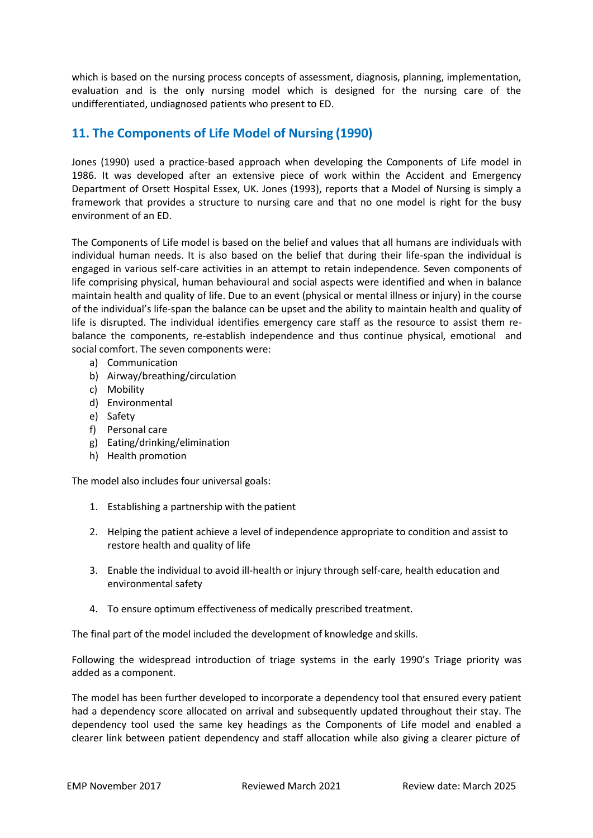which is based on the nursing process concepts of assessment, diagnosis, planning, implementation, evaluation and is the only nursing model which is designed for the nursing care of the undifferentiated, undiagnosed patients who present to ED.

# <span id="page-7-0"></span>**11. The Components of Life Model of Nursing (1990)**

Jones (1990) used a practice-based approach when developing the Components of Life model in 1986. It was developed after an extensive piece of work within the Accident and Emergency Department of Orsett Hospital Essex, UK. Jones (1993), reports that a Model of Nursing is simply a framework that provides a structure to nursing care and that no one model is right for the busy environment of an ED.

The Components of Life model is based on the belief and values that all humans are individuals with individual human needs. It is also based on the belief that during their life-span the individual is engaged in various self-care activities in an attempt to retain independence. Seven components of life comprising physical, human behavioural and social aspects were identified and when in balance maintain health and quality of life. Due to an event (physical or mental illness or injury) in the course of the individual's life-span the balance can be upset and the ability to maintain health and quality of life is disrupted. The individual identifies emergency care staff as the resource to assist them rebalance the components, re-establish independence and thus continue physical, emotional and social comfort. The seven components were:

- a) Communication
- b) Airway/breathing/circulation
- c) Mobility
- d) Environmental
- e) Safety
- f) Personal care
- g) Eating/drinking/elimination
- h) Health promotion

The model also includes four universal goals:

- 1. Establishing a partnership with the patient
- 2. Helping the patient achieve a level of independence appropriate to condition and assist to restore health and quality of life
- 3. Enable the individual to avoid ill-health or injury through self-care, health education and environmental safety
- 4. To ensure optimum effectiveness of medically prescribed treatment.

The final part of the model included the development of knowledge and skills.

Following the widespread introduction of triage systems in the early 1990's Triage priority was added as a component.

The model has been further developed to incorporate a dependency tool that ensured every patient had a dependency score allocated on arrival and subsequently updated throughout their stay. The dependency tool used the same key headings as the Components of Life model and enabled a clearer link between patient dependency and staff allocation while also giving a clearer picture of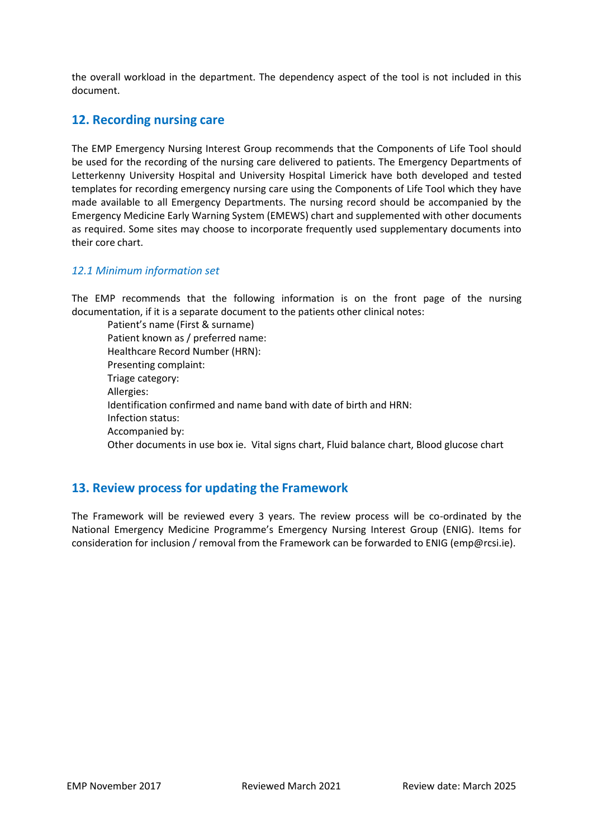the overall workload in the department. The dependency aspect of the tool is not included in this document.

### <span id="page-8-0"></span>**12. Recording nursing care**

The EMP Emergency Nursing Interest Group recommends that the Components of Life Tool should be used for the recording of the nursing care delivered to patients. The Emergency Departments of Letterkenny University Hospital and University Hospital Limerick have both developed and tested templates for recording emergency nursing care using the Components of Life Tool which they have made available to all Emergency Departments. The nursing record should be accompanied by the Emergency Medicine Early Warning System (EMEWS) chart and supplemented with other documents as required. Some sites may choose to incorporate frequently used supplementary documents into their core chart.

#### <span id="page-8-1"></span>*12.1 Minimum information set*

The EMP recommends that the following information is on the front page of the nursing documentation, if it is a separate document to the patients other clinical notes:

Patient's name (First & surname) Patient known as / preferred name: Healthcare Record Number (HRN): Presenting complaint: Triage category: Allergies: Identification confirmed and name band with date of birth and HRN: Infection status: Accompanied by: Other documents in use box ie. Vital signs chart, Fluid balance chart, Blood glucose chart

### <span id="page-8-2"></span>**13. Review process for updating the Framework**

The Framework will be reviewed every 3 years. The review process will be co-ordinated by the National Emergency Medicine Programme's Emergency Nursing Interest Group (ENIG). Items for consideration for inclusion / removal from the Framework can be forwarded to ENIG (emp@rcsi.ie).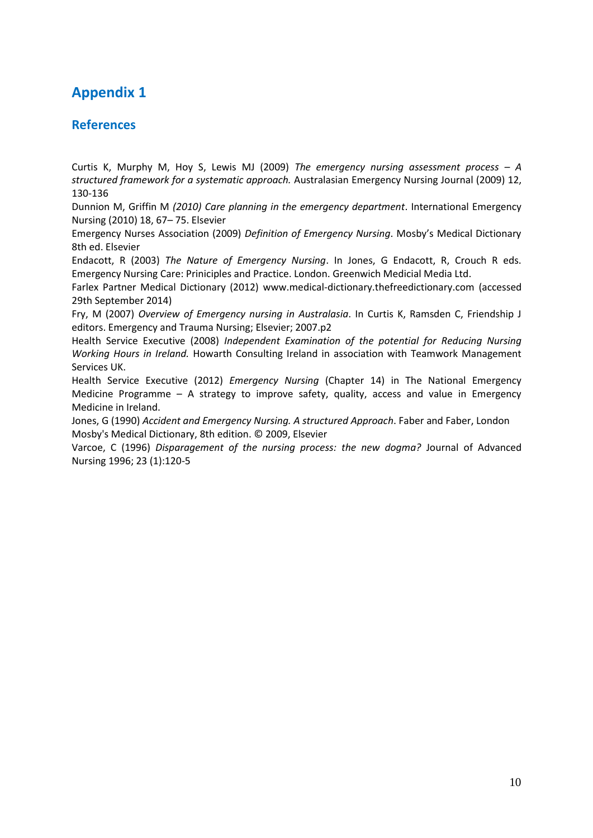# <span id="page-9-0"></span>**Appendix 1**

### **References**

Curtis K, Murphy M, Hoy S, Lewis MJ (2009) *The emergency nursing assessment process – A structured framework for a systematic approach.* Australasian Emergency Nursing Journal (2009) 12, 130-136

Dunnion M, Griffin M *(2010) Care planning in the emergency department*. International Emergency Nursing (2010) 18, 67– 75. Elsevier

Emergency Nurses Association (2009) *Definition of Emergency Nursing*. Mosby's Medical Dictionary 8th ed. Elsevier

Endacott, R (2003) *The Nature of Emergency Nursing*. In Jones, G Endacott, R, Crouch R eds. Emergency Nursing Care: Priniciples and Practice. London. Greenwich Medicial Media Ltd.

Farlex Partner Medical Dictionary (2012) [www.medical-dictionary.thefreedictionary.com](http://www.medical-dictionary.thefreedictionary.com/) (accessed 29th September 2014)

Fry, M (2007) *Overview of Emergency nursing in Australasia*. In Curtis K, Ramsden C, Friendship J editors. Emergency and Trauma Nursing; Elsevier; 2007.p2

Health Service Executive (2008) *Independent Examination of the potential for Reducing Nursing Working Hours in Ireland.* Howarth Consulting Ireland in association with Teamwork Management Services UK.

Health Service Executive (2012) *Emergency Nursing* (Chapter 14) in The National Emergency Medicine Programme – A strategy to improve safety, quality, access and value in Emergency Medicine in Ireland.

Jones, G (1990) *Accident and Emergency Nursing. A structured Approach*. Faber and Faber, London Mosby's Medical Dictionary, 8th edition. © 2009, Elsevier

Varcoe, C (1996) *Disparagement of the nursing process: the new dogma?* Journal of Advanced Nursing 1996; 23 (1):120-5